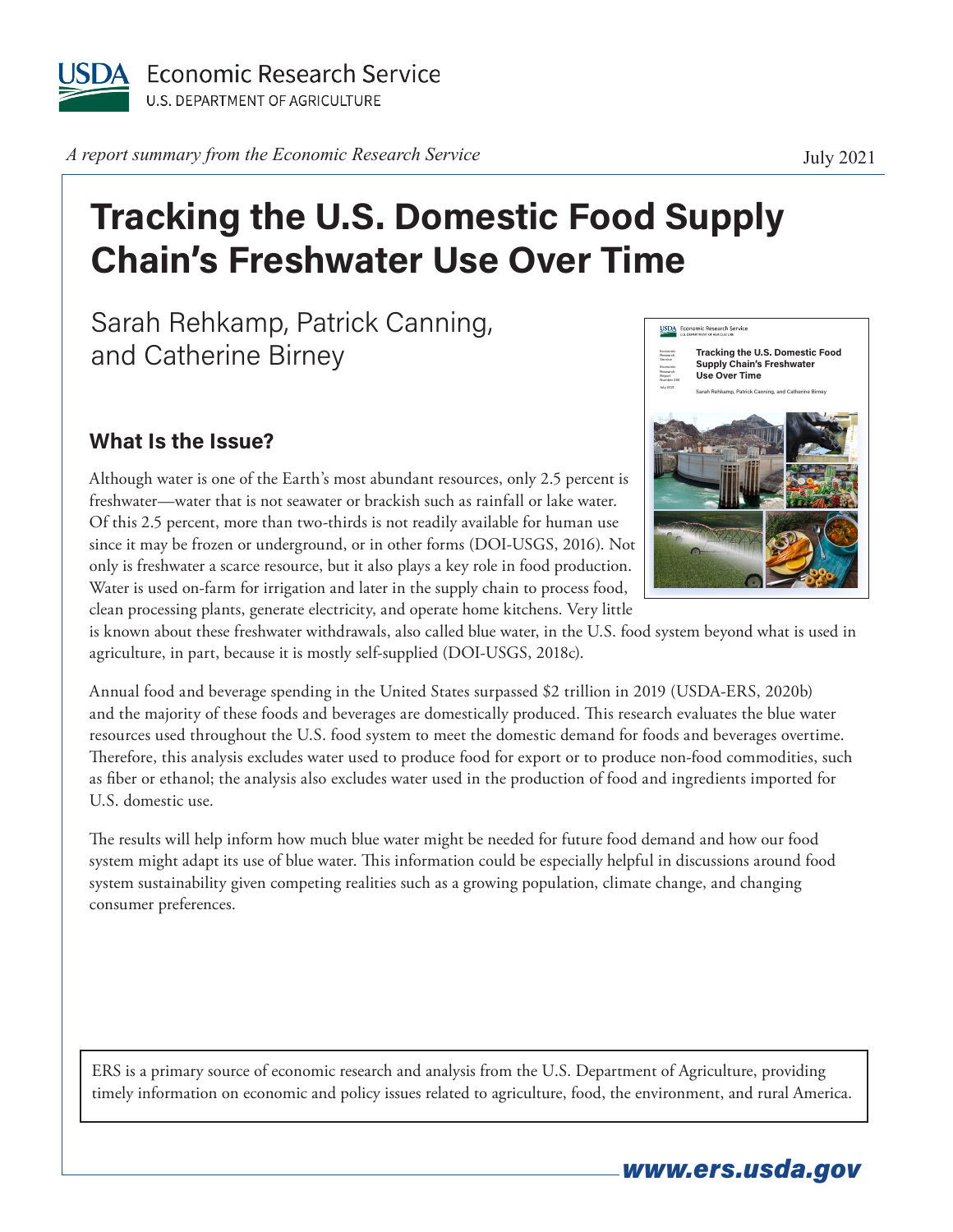

*A report summary from the Economic Research Service* **July 2021** 

## **Tracking the U.S. Domestic Food Supply Chain's Freshwater Use Over Time**

Sarah Rehkamp, Patrick Canning, and Catherine Birney

## **What Is the Issue?**

Although water is one of the Earth's most abundant resources, only 2.5 percent is freshwater—water that is not seawater or brackish such as rainfall or lake water . Of this 2.5 percent, more than two-thirds is not readily available for human use since it may be frozen or underground, or in other forms (DOI-USGS, 2016) . Not only is freshwater a scarce resource, but it also plays a key role in food production . Water is used on-farm for irrigation and later in the supply chain to process food, clean processing plants, generate electricity, and operate home kitchens. Very little



is known about these freshwater withdrawals, also called blue water, in the U.S. food system beyond what is used in agriculture, in part, because it is mostly self-supplied (DOI-USGS, 2018c).

Annual food and beverage spending in the United States surpassed \$2 trillion in 2019 (USDA-ERS, 2020b) and the majority of these foods and beverages are domestically produced . This research evaluates the blue water resources used throughout the U.S. food system to meet the domestic demand for foods and beverages overtime. Therefore, this analysis excludes water used to produce food for export or to produce non-food commodities, such as fiber or ethanol; the analysis also excludes water used in the production of food and ingredients imported for U.S. domestic use.

The results will help inform how much blue water might be needed for future food demand and how our food system might adapt its use of blue water. This information could be especially helpful in discussions around food system sustainability given competing realities such as a growing population, climate change, and changing consumer preferences .

ERS is a primary source of economic research and analysis from the U.S. Department of Agriculture, providing timely information on economic and policy issues related to agriculture, food, the environment, and rural America.